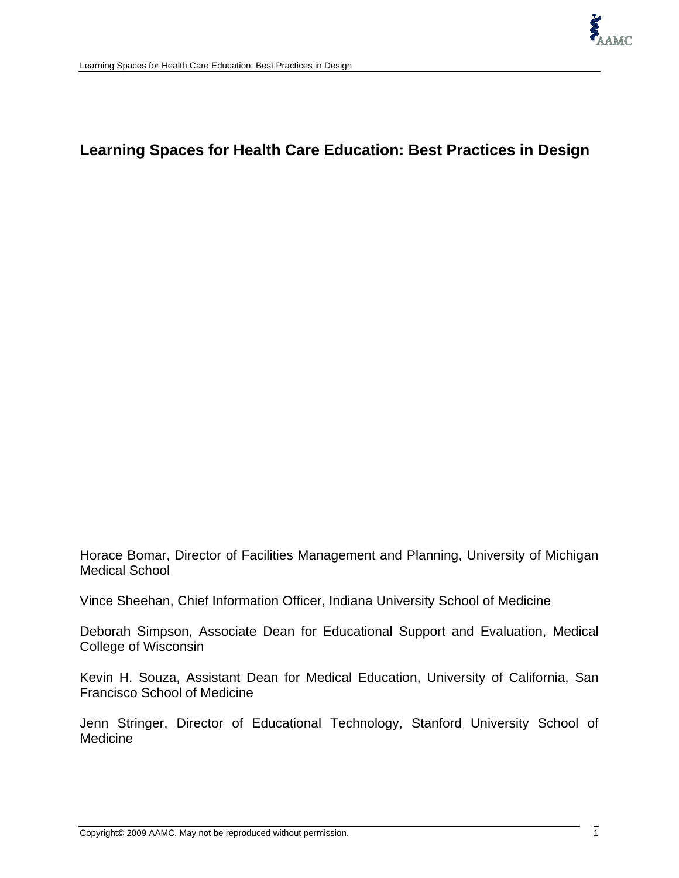# **Learning Spaces for Health Care Education: Best Practices in Design**

Horace Bomar, Director of Facilities Management and Planning, University of Michigan Medical School

Vince Sheehan, Chief Information Officer, Indiana University School of Medicine

Deborah Simpson, Associate Dean for Educational Support and Evaluation, Medical College of Wisconsin

Kevin H. Souza, Assistant Dean for Medical Education, University of California, San Francisco School of Medicine

Jenn Stringer, Director of Educational Technology, Stanford University School of Medicine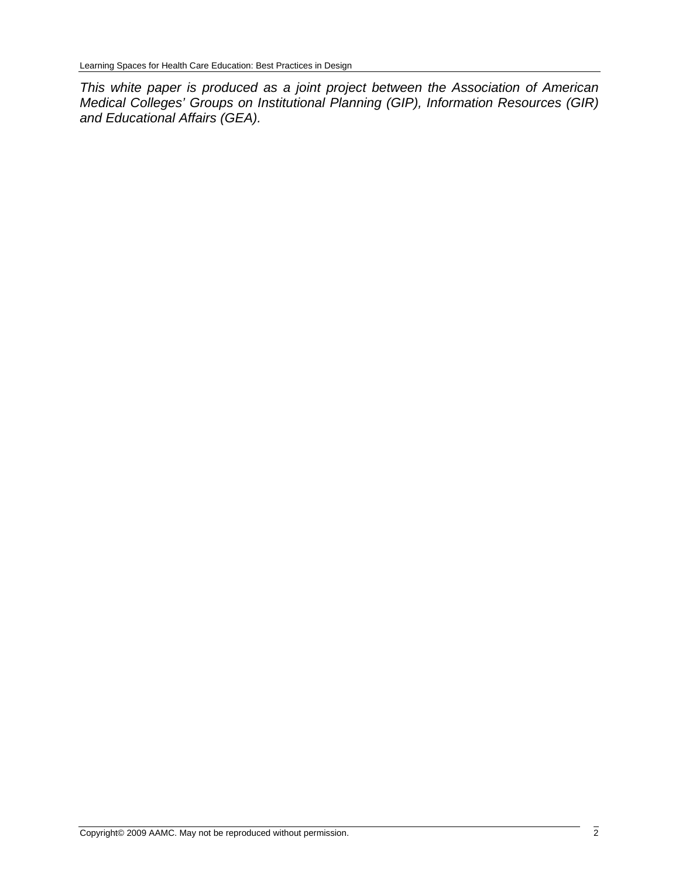*This white paper is produced as a joint project between the Association of American Medical Colleges' Groups on Institutional Planning (GIP), Information Resources (GIR) and Educational Affairs (GEA).*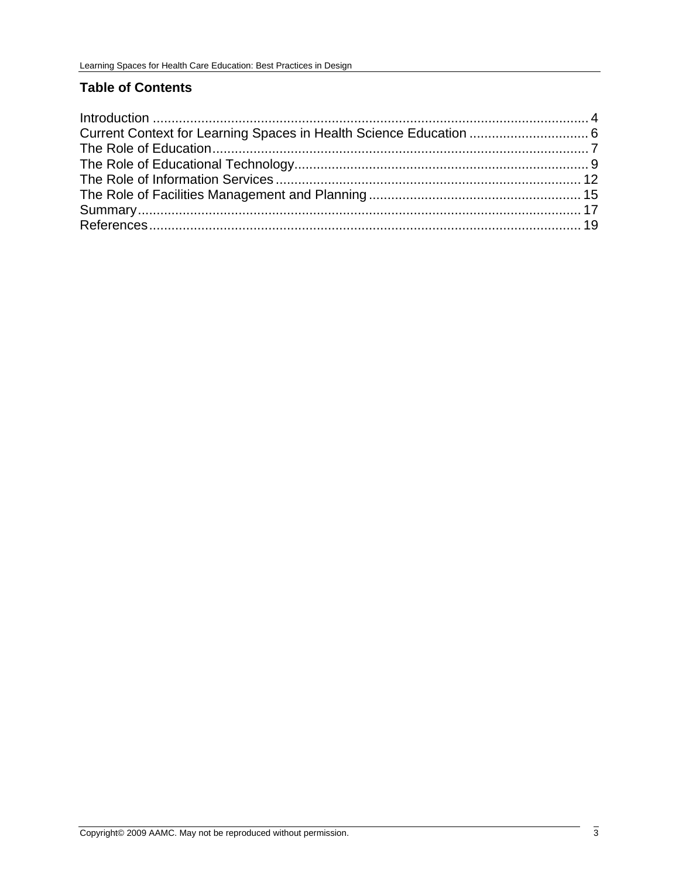## **Table of Contents**

| Current Context for Learning Spaces in Health Science Education  6 |  |
|--------------------------------------------------------------------|--|
|                                                                    |  |
|                                                                    |  |
|                                                                    |  |
|                                                                    |  |
|                                                                    |  |
|                                                                    |  |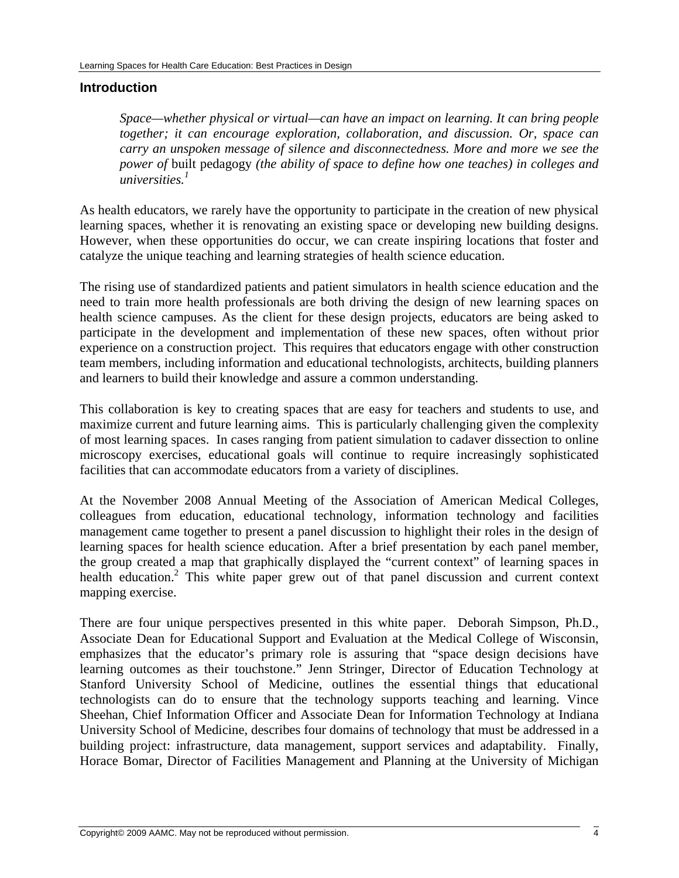#### <span id="page-3-0"></span>**Introduction**

*Space—whether physical or virtual—can have an impact on learning. It can bring people together; it can encourage exploration, collaboration, and discussion. Or, space can carry an unspoken message of silence and disconnectedness. More and more we see the power of* built pedagogy *(the ability of space to define how one teaches) in colleges and universities.1*

As health educators, we rarely have the opportunity to participate in the creation of new physical learning spaces, whether it is renovating an existing space or developing new building designs. However, when these opportunities do occur, we can create inspiring locations that foster and catalyze the unique teaching and learning strategies of health science education.

The rising use of standardized patients and patient simulators in health science education and the need to train more health professionals are both driving the design of new learning spaces on health science campuses. As the client for these design projects, educators are being asked to participate in the development and implementation of these new spaces, often without prior experience on a construction project. This requires that educators engage with other construction team members, including information and educational technologists, architects, building planners and learners to build their knowledge and assure a common understanding.

This collaboration is key to creating spaces that are easy for teachers and students to use, and maximize current and future learning aims. This is particularly challenging given the complexity of most learning spaces. In cases ranging from patient simulation to cadaver dissection to online microscopy exercises, educational goals will continue to require increasingly sophisticated facilities that can accommodate educators from a variety of disciplines.

At the November 2008 Annual Meeting of the Association of American Medical Colleges, colleagues from education, educational technology, information technology and facilities management came together to present a panel discussion to highlight their roles in the design of learning spaces for health science education. After a brief presentation by each panel member, the group created a map that graphically displayed the "current context" of learning spaces in health education.<sup>2</sup> This white paper grew out of that panel discussion and current context mapping exercise.

There are four unique perspectives presented in this white paper. Deborah Simpson, Ph.D., Associate Dean for Educational Support and Evaluation at the Medical College of Wisconsin, emphasizes that the educator's primary role is assuring that "space design decisions have learning outcomes as their touchstone." Jenn Stringer, Director of Education Technology at Stanford University School of Medicine, outlines the essential things that educational technologists can do to ensure that the technology supports teaching and learning. Vince Sheehan, Chief Information Officer and Associate Dean for Information Technology at Indiana University School of Medicine, describes four domains of technology that must be addressed in a building project: infrastructure, data management, support services and adaptability. Finally, Horace Bomar, Director of Facilities Management and Planning at the University of Michigan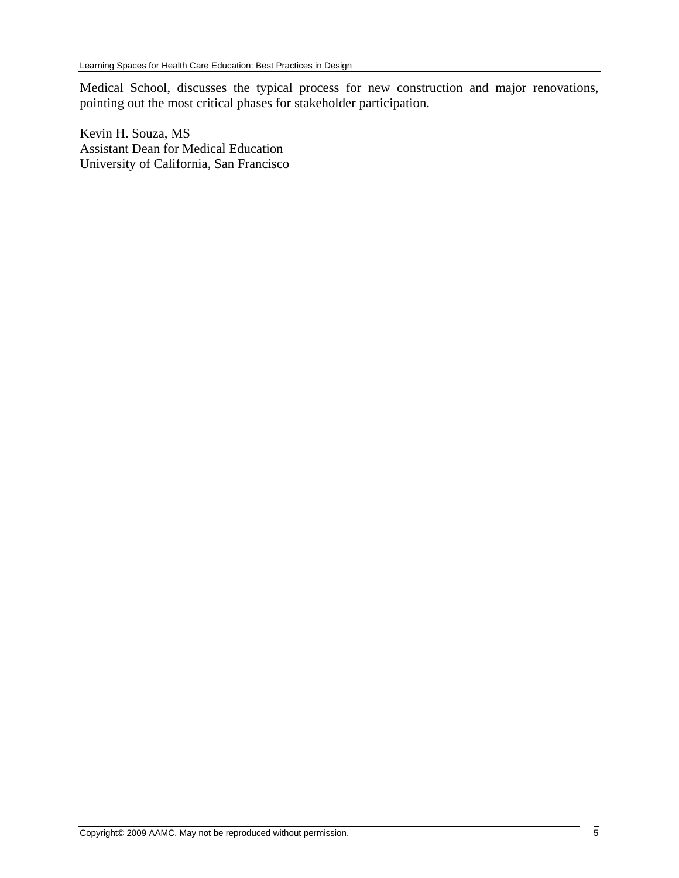Medical School, discusses the typical process for new construction and major renovations, pointing out the most critical phases for stakeholder participation.

Kevin H. Souza, MS Assistant Dean for Medical Education University of California, San Francisco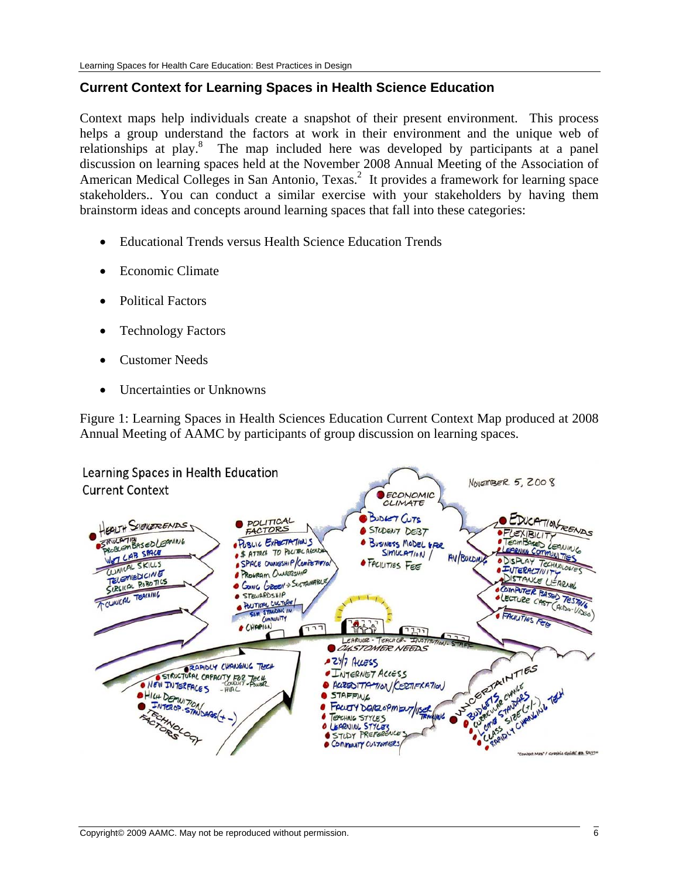## <span id="page-5-0"></span>**Current Context for Learning Spaces in Health Science Education**

Context maps help individuals create a snapshot of their present environment. This process helps a group understand the factors at work in their environment and the unique web of relationships at play.<sup>8</sup> The map included here was developed by participants at a panel discussion on learning spaces held at the November 2008 Annual Meeting of the Association of American Medical Colleges in San Antonio, Texas.<sup>2</sup> It provides a framework for learning space stakeholders.. You can conduct a similar exercise with your stakeholders by having them brainstorm ideas and concepts around learning spaces that fall into these categories:

- Educational Trends versus Health Science Education Trends
- Economic Climate
- Political Factors
- Technology Factors
- Customer Needs
- Uncertainties or Unknowns

Figure 1: Learning Spaces in Health Sciences Education Current Context Map produced at 2008 Annual Meeting of AAMC by participants of group discussion on learning spaces.

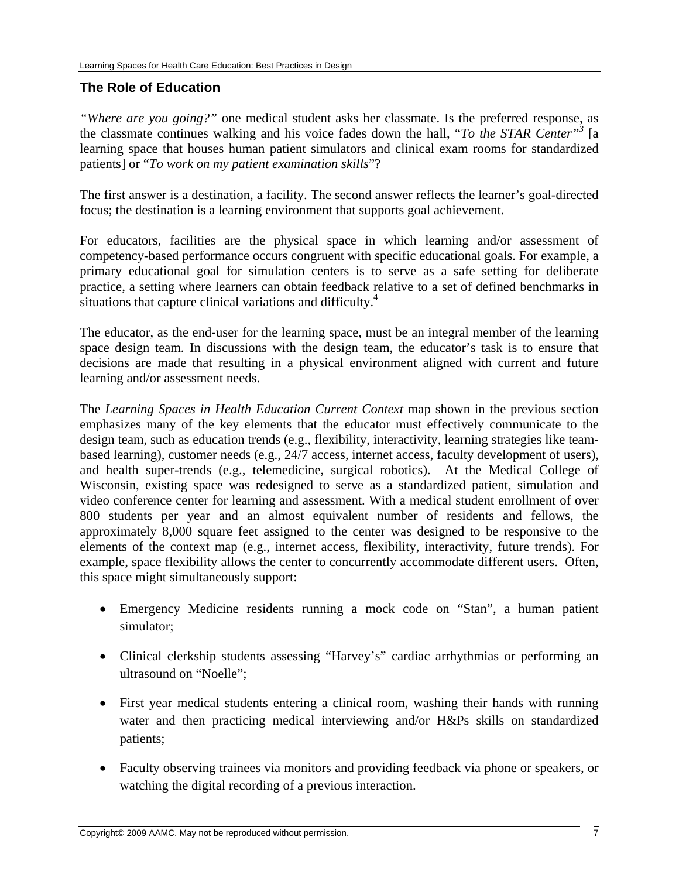## <span id="page-6-0"></span>**The Role of Education**

*"Where are you going?"* one medical student asks her classmate. Is the preferred response, as the classmate continues walking and his voice fades down the hall, "*To the STAR Center"3* [a learning space that houses human patient simulators and clinical exam rooms for standardized patients] or "*To work on my patient examination skills*"?

The first answer is a destination, a facility. The second answer reflects the learner's goal-directed focus; the destination is a learning environment that supports goal achievement.

For educators, facilities are the physical space in which learning and/or assessment of competency-based performance occurs congruent with specific educational goals. For example, a primary educational goal for simulation centers is to serve as a safe setting for deliberate practice, a setting where learners can obtain feedback relative to a set of defined benchmarks in situations that capture clinical variations and difficulty.<sup>4</sup>

The educator, as the end-user for the learning space, must be an integral member of the learning space design team. In discussions with the design team, the educator's task is to ensure that decisions are made that resulting in a physical environment aligned with current and future learning and/or assessment needs.

The *Learning Spaces in Health Education Current Context* map shown in the previous section emphasizes many of the key elements that the educator must effectively communicate to the design team, such as education trends (e.g., flexibility, interactivity, learning strategies like teambased learning), customer needs (e.g., 24/7 access, internet access, faculty development of users), and health super-trends (e.g., telemedicine, surgical robotics). At the Medical College of Wisconsin, existing space was redesigned to serve as a standardized patient, simulation and video conference center for learning and assessment. With a medical student enrollment of over 800 students per year and an almost equivalent number of residents and fellows, the approximately 8,000 square feet assigned to the center was designed to be responsive to the elements of the context map (e.g., internet access, flexibility, interactivity, future trends). For example, space flexibility allows the center to concurrently accommodate different users. Often, this space might simultaneously support:

- Emergency Medicine residents running a mock code on "Stan", a human patient simulator;
- Clinical clerkship students assessing "Harvey's" cardiac arrhythmias or performing an ultrasound on "Noelle";
- First year medical students entering a clinical room, washing their hands with running water and then practicing medical interviewing and/or H&Ps skills on standardized patients;
- Faculty observing trainees via monitors and providing feedback via phone or speakers, or watching the digital recording of a previous interaction.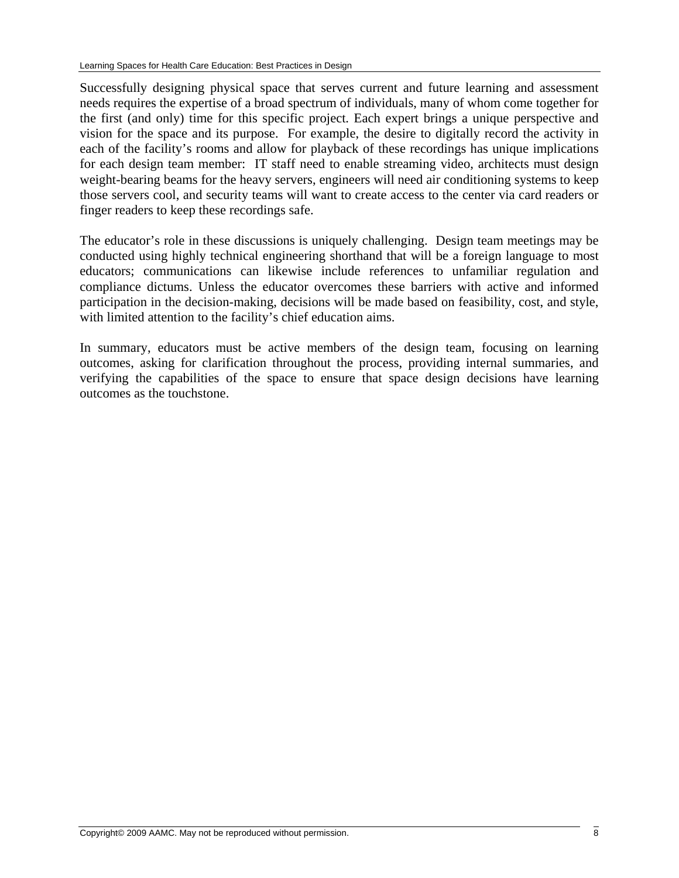Successfully designing physical space that serves current and future learning and assessment needs requires the expertise of a broad spectrum of individuals, many of whom come together for the first (and only) time for this specific project. Each expert brings a unique perspective and vision for the space and its purpose. For example, the desire to digitally record the activity in each of the facility's rooms and allow for playback of these recordings has unique implications for each design team member: IT staff need to enable streaming video, architects must design weight-bearing beams for the heavy servers, engineers will need air conditioning systems to keep those servers cool, and security teams will want to create access to the center via card readers or finger readers to keep these recordings safe.

The educator's role in these discussions is uniquely challenging. Design team meetings may be conducted using highly technical engineering shorthand that will be a foreign language to most educators; communications can likewise include references to unfamiliar regulation and compliance dictums. Unless the educator overcomes these barriers with active and informed participation in the decision-making, decisions will be made based on feasibility, cost, and style, with limited attention to the facility's chief education aims.

In summary, educators must be active members of the design team, focusing on learning outcomes, asking for clarification throughout the process, providing internal summaries, and verifying the capabilities of the space to ensure that space design decisions have learning outcomes as the touchstone.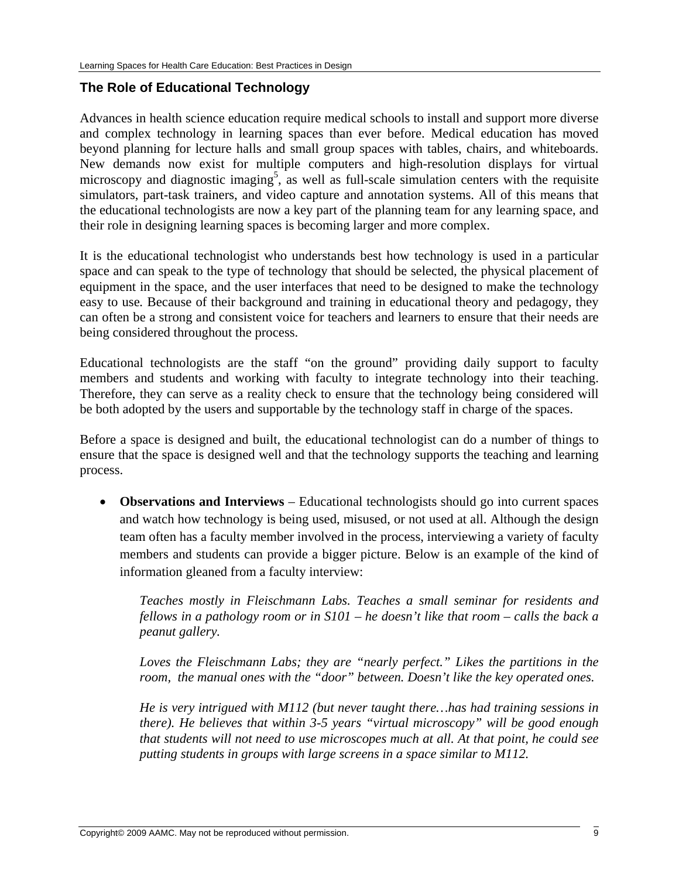## <span id="page-8-0"></span>**The Role of Educational Technology**

Advances in health science education require medical schools to install and support more diverse and complex technology in learning spaces than ever before. Medical education has moved beyond planning for lecture halls and small group spaces with tables, chairs, and whiteboards. New demands now exist for multiple computers and high-resolution displays for virtual microscopy and diagnostic imaging<sup>5</sup>, as well as full-scale simulation centers with the requisite simulators, part-task trainers, and video capture and annotation systems. All of this means that the educational technologists are now a key part of the planning team for any learning space, and their role in designing learning spaces is becoming larger and more complex.

It is the educational technologist who understands best how technology is used in a particular space and can speak to the type of technology that should be selected, the physical placement of equipment in the space, and the user interfaces that need to be designed to make the technology easy to use*.* Because of their background and training in educational theory and pedagogy, they can often be a strong and consistent voice for teachers and learners to ensure that their needs are being considered throughout the process.

Educational technologists are the staff "on the ground" providing daily support to faculty members and students and working with faculty to integrate technology into their teaching. Therefore, they can serve as a reality check to ensure that the technology being considered will be both adopted by the users and supportable by the technology staff in charge of the spaces.

Before a space is designed and built, the educational technologist can do a number of things to ensure that the space is designed well and that the technology supports the teaching and learning process.

• **Observations and Interviews** – Educational technologists should go into current spaces and watch how technology is being used, misused, or not used at all. Although the design team often has a faculty member involved in the process, interviewing a variety of faculty members and students can provide a bigger picture. Below is an example of the kind of information gleaned from a faculty interview:

*Teaches mostly in Fleischmann Labs. Teaches a small seminar for residents and fellows in a pathology room or in S101 – he doesn't like that room – calls the back a peanut gallery.* 

*Loves the Fleischmann Labs; they are "nearly perfect." Likes the partitions in the room, the manual ones with the "door" between. Doesn't like the key operated ones.* 

*He is very intrigued with M112 (but never taught there…has had training sessions in there). He believes that within 3-5 years "virtual microscopy" will be good enough that students will not need to use microscopes much at all. At that point, he could see putting students in groups with large screens in a space similar to M112.*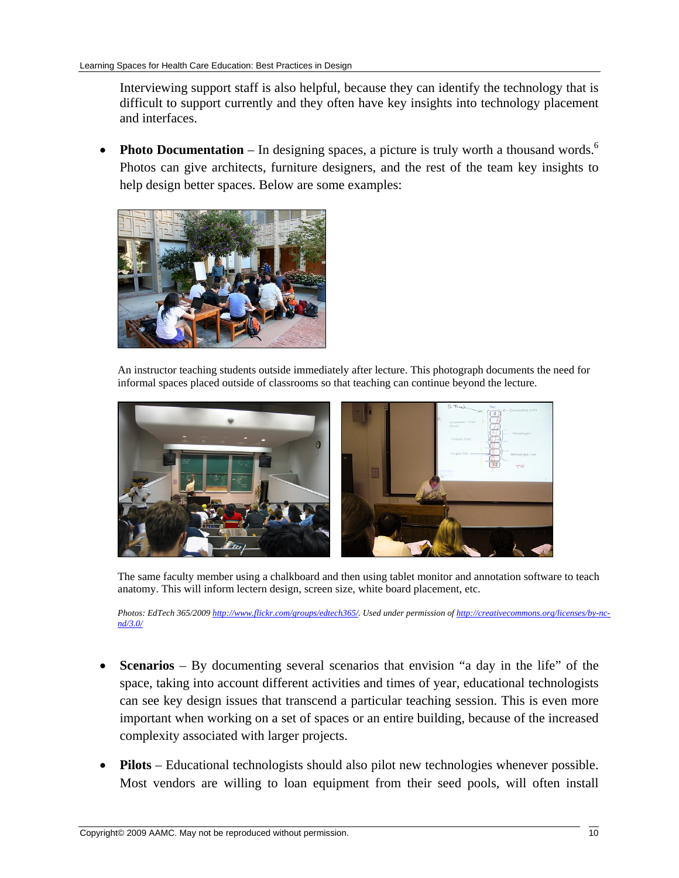Interviewing support staff is also helpful, because they can identify the technology that is difficult to support currently and they often have key insights into technology placement and interfaces.

• **Photo Documentation** – In designing spaces, a picture is truly worth a thousand words.<sup>6</sup> Photos can give architects, furniture designers, and the rest of the team key insights to help design better spaces. Below are some examples:



An instructor teaching students outside immediately after lecture. This photograph documents the need for informal spaces placed outside of classrooms so that teaching can continue beyond the lecture.



The same faculty member using a chalkboard and then using tablet monitor and annotation software to teach anatomy. This will inform lectern design, screen size, white board placement, etc.

*Photos: EdTech 365/2009 <http://www.flickr.com/groups/edtech365/>. Used under permission of [http://creativecommons.org/licenses/by-nc](http://creativecommons.org/licenses/by-nc-nd/3.0/)[nd/3.0/](http://creativecommons.org/licenses/by-nc-nd/3.0/)* 

- **Scenarios** By documenting several scenarios that envision "a day in the life" of the space, taking into account different activities and times of year, educational technologists can see key design issues that transcend a particular teaching session. This is even more important when working on a set of spaces or an entire building, because of the increased complexity associated with larger projects.
- **Pilots** Educational technologists should also pilot new technologies whenever possible. Most vendors are willing to loan equipment from their seed pools, will often install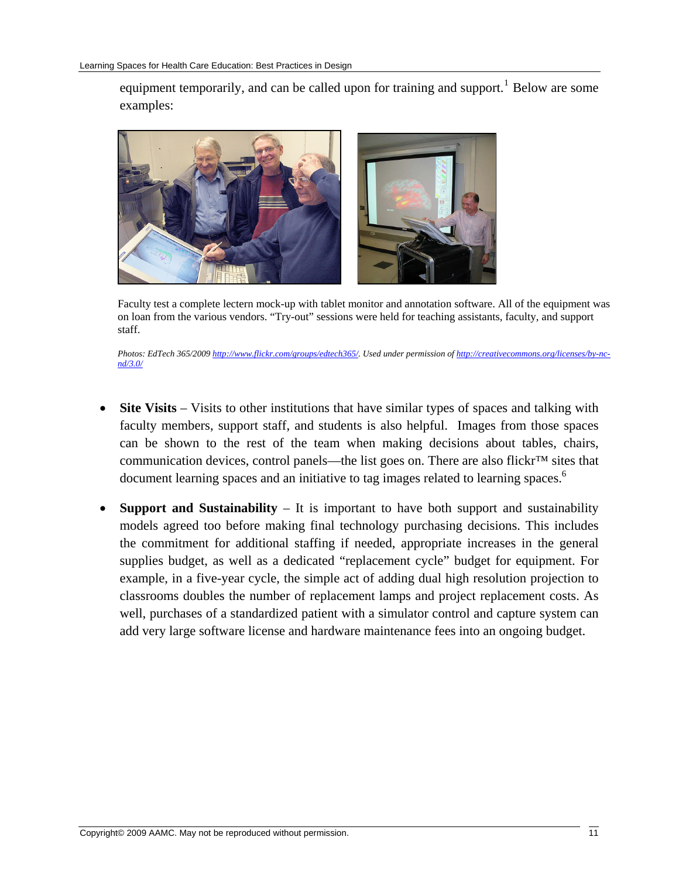equipment temporarily, and can be called upon for training and support.<sup>[1](#page-18-0)</sup> Below are some examples:



Faculty test a complete lectern mock-up with tablet monitor and annotation software. All of the equipment was on loan from the various vendors. "Try-out" sessions were held for teaching assistants, faculty, and support staff.

*Photos: EdTech 365/2009 <http://www.flickr.com/groups/edtech365/>. Used under permission of [http://creativecommons.org/licenses/by-nc](http://creativecommons.org/licenses/by-nc-nd/3.0/)[nd/3.0/](http://creativecommons.org/licenses/by-nc-nd/3.0/)* 

- **Site Visits**  Visits to other institutions that have similar types of spaces and talking with faculty members, support staff, and students is also helpful. Images from those spaces can be shown to the rest of the team when making decisions about tables, chairs, communication devices, control panels—the list goes on. There are also flickr™ sites that document learning spaces and an initiative to tag images related to learning spaces.<sup>6</sup>
- **Support and Sustainability** It is important to have both support and sustainability models agreed too before making final technology purchasing decisions. This includes the commitment for additional staffing if needed, appropriate increases in the general supplies budget, as well as a dedicated "replacement cycle" budget for equipment. For example, in a five-year cycle, the simple act of adding dual high resolution projection to classrooms doubles the number of replacement lamps and project replacement costs. As well, purchases of a standardized patient with a simulator control and capture system can add very large software license and hardware maintenance fees into an ongoing budget.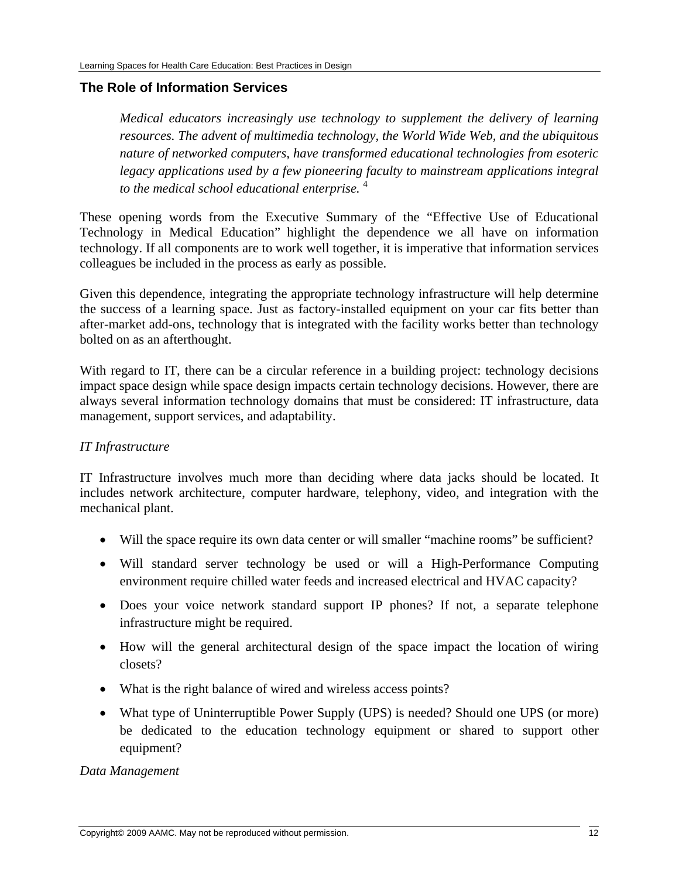#### <span id="page-11-0"></span>**The Role of Information Services**

*Medical educators increasingly use technology to supplement the delivery of learning resources. The advent of multimedia technology, the World Wide Web, and the ubiquitous nature of networked computers, have transformed educational technologies from esoteric*  legacy applications used by a few pioneering faculty to mainstream applications integral *to the medical school educational enterprise.* <sup>4</sup>

These opening words from the Executive Summary of the "Effective Use of Educational Technology in Medical Education" highlight the dependence we all have on information technology. If all components are to work well together, it is imperative that information services colleagues be included in the process as early as possible.

Given this dependence, integrating the appropriate technology infrastructure will help determine the success of a learning space. Just as factory-installed equipment on your car fits better than after-market add-ons, technology that is integrated with the facility works better than technology bolted on as an afterthought.

With regard to IT, there can be a circular reference in a building project: technology decisions impact space design while space design impacts certain technology decisions. However, there are always several information technology domains that must be considered: IT infrastructure, data management, support services, and adaptability.

## *IT Infrastructure*

IT Infrastructure involves much more than deciding where data jacks should be located. It includes network architecture, computer hardware, telephony, video, and integration with the mechanical plant.

- Will the space require its own data center or will smaller "machine rooms" be sufficient?
- Will standard server technology be used or will a High-Performance Computing environment require chilled water feeds and increased electrical and HVAC capacity?
- Does your voice network standard support IP phones? If not, a separate telephone infrastructure might be required.
- How will the general architectural design of the space impact the location of wiring closets?
- What is the right balance of wired and wireless access points?
- What type of Uninterruptible Power Supply (UPS) is needed? Should one UPS (or more) be dedicated to the education technology equipment or shared to support other equipment?

#### *Data Management*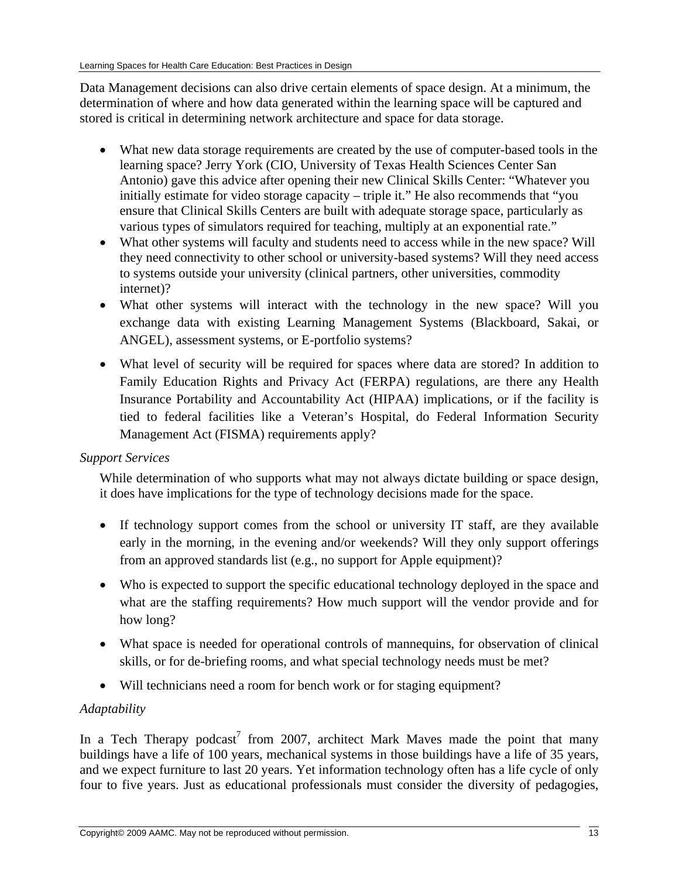Data Management decisions can also drive certain elements of space design. At a minimum, the determination of where and how data generated within the learning space will be captured and stored is critical in determining network architecture and space for data storage.

- What new data storage requirements are created by the use of computer-based tools in the learning space? Jerry York (CIO, University of Texas Health Sciences Center San Antonio) gave this advice after opening their new Clinical Skills Center: "Whatever you initially estimate for video storage capacity – triple it." He also recommends that "you ensure that Clinical Skills Centers are built with adequate storage space, particularly as various types of simulators required for teaching, multiply at an exponential rate."
- What other systems will faculty and students need to access while in the new space? Will they need connectivity to other school or university-based systems? Will they need access to systems outside your university (clinical partners, other universities, commodity internet)?
- What other systems will interact with the technology in the new space? Will you exchange data with existing Learning Management Systems (Blackboard, Sakai, or ANGEL), assessment systems, or E-portfolio systems?
- What level of security will be required for spaces where data are stored? In addition to Family Education Rights and Privacy Act (FERPA) regulations, are there any Health Insurance Portability and Accountability Act (HIPAA) implications, or if the facility is tied to federal facilities like a Veteran's Hospital, do Federal Information Security Management Act (FISMA) requirements apply?

## *Support Services*

While determination of who supports what may not always dictate building or space design, it does have implications for the type of technology decisions made for the space.

- If technology support comes from the school or university IT staff, are they available early in the morning, in the evening and/or weekends? Will they only support offerings from an approved standards list (e.g., no support for Apple equipment)?
- Who is expected to support the specific educational technology deployed in the space and what are the staffing requirements? How much support will the vendor provide and for how long?
- What space is needed for operational controls of mannequins, for observation of clinical skills, or for de-briefing rooms, and what special technology needs must be met?
- Will technicians need a room for bench work or for staging equipment?

## *Adaptability*

In a Tech Therapy podcast<sup>7</sup> from 2007, architect Mark Maves made the point that many buildings have a life of 100 years, mechanical systems in those buildings have a life of 35 years, and we expect furniture to last 20 years. Yet information technology often has a life cycle of only four to five years. Just as educational professionals must consider the diversity of pedagogies,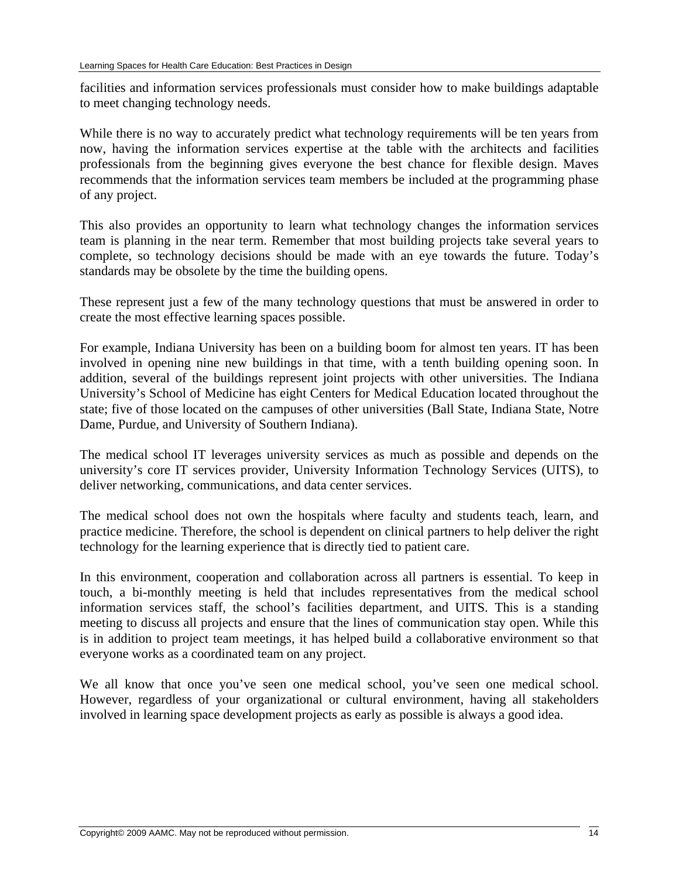facilities and information services professionals must consider how to make buildings adaptable to meet changing technology needs.

While there is no way to accurately predict what technology requirements will be ten years from now, having the information services expertise at the table with the architects and facilities professionals from the beginning gives everyone the best chance for flexible design. Maves recommends that the information services team members be included at the programming phase of any project.

This also provides an opportunity to learn what technology changes the information services team is planning in the near term. Remember that most building projects take several years to complete, so technology decisions should be made with an eye towards the future. Today's standards may be obsolete by the time the building opens.

These represent just a few of the many technology questions that must be answered in order to create the most effective learning spaces possible.

For example, Indiana University has been on a building boom for almost ten years. IT has been involved in opening nine new buildings in that time, with a tenth building opening soon. In addition, several of the buildings represent joint projects with other universities. The Indiana University's School of Medicine has eight Centers for Medical Education located throughout the state; five of those located on the campuses of other universities (Ball State, Indiana State, Notre Dame, Purdue, and University of Southern Indiana).

The medical school IT leverages university services as much as possible and depends on the university's core IT services provider, University Information Technology Services (UITS), to deliver networking, communications, and data center services.

The medical school does not own the hospitals where faculty and students teach, learn, and practice medicine. Therefore, the school is dependent on clinical partners to help deliver the right technology for the learning experience that is directly tied to patient care.

In this environment, cooperation and collaboration across all partners is essential. To keep in touch, a bi-monthly meeting is held that includes representatives from the medical school information services staff, the school's facilities department, and UITS. This is a standing meeting to discuss all projects and ensure that the lines of communication stay open. While this is in addition to project team meetings, it has helped build a collaborative environment so that everyone works as a coordinated team on any project.

We all know that once you've seen one medical school, you've seen one medical school. However, regardless of your organizational or cultural environment, having all stakeholders involved in learning space development projects as early as possible is always a good idea.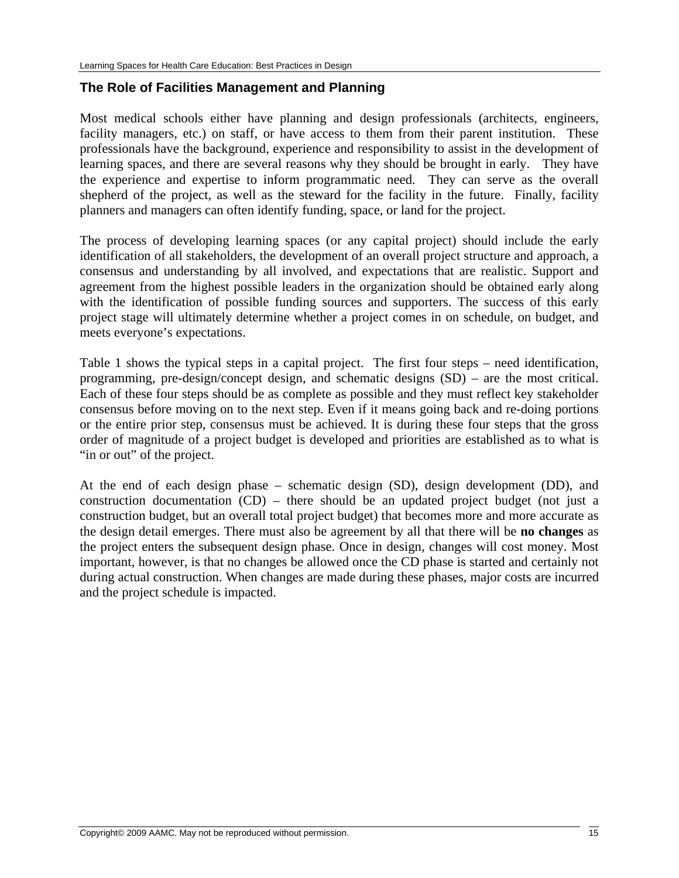## <span id="page-14-0"></span>**The Role of Facilities Management and Planning**

Most medical schools either have planning and design professionals (architects, engineers, facility managers, etc.) on staff, or have access to them from their parent institution. These professionals have the background, experience and responsibility to assist in the development of learning spaces, and there are several reasons why they should be brought in early. They have the experience and expertise to inform programmatic need. They can serve as the overall shepherd of the project, as well as the steward for the facility in the future. Finally, facility planners and managers can often identify funding, space, or land for the project.

The process of developing learning spaces (or any capital project) should include the early identification of all stakeholders, the development of an overall project structure and approach, a consensus and understanding by all involved, and expectations that are realistic. Support and agreement from the highest possible leaders in the organization should be obtained early along with the identification of possible funding sources and supporters. The success of this early project stage will ultimately determine whether a project comes in on schedule, on budget, and meets everyone's expectations.

Table 1 shows the typical steps in a capital project. The first four steps – need identification, programming, pre-design/concept design, and schematic designs (SD) – are the most critical. Each of these four steps should be as complete as possible and they must reflect key stakeholder consensus before moving on to the next step. Even if it means going back and re-doing portions or the entire prior step, consensus must be achieved. It is during these four steps that the gross order of magnitude of a project budget is developed and priorities are established as to what is "in or out" of the project.

At the end of each design phase – schematic design (SD), design development (DD), and construction documentation (CD) – there should be an updated project budget (not just a construction budget, but an overall total project budget) that becomes more and more accurate as the design detail emerges. There must also be agreement by all that there will be **no changes** as the project enters the subsequent design phase. Once in design, changes will cost money. Most important, however, is that no changes be allowed once the CD phase is started and certainly not during actual construction. When changes are made during these phases, major costs are incurred and the project schedule is impacted.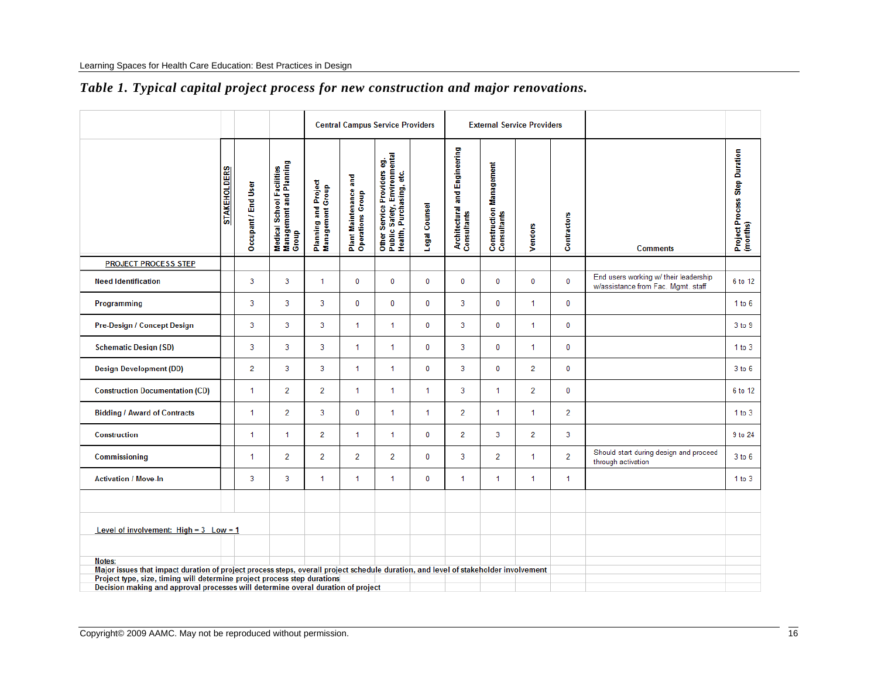|                                                                                                                                                                                                                           |                     |                     |                                                               | <b>Central Campus Service Providers</b>  |                                           |                                                                                         |               | <b>External Service Providers</b>            |                                        |                |                |                                                                             |                                           |
|---------------------------------------------------------------------------------------------------------------------------------------------------------------------------------------------------------------------------|---------------------|---------------------|---------------------------------------------------------------|------------------------------------------|-------------------------------------------|-----------------------------------------------------------------------------------------|---------------|----------------------------------------------|----------------------------------------|----------------|----------------|-----------------------------------------------------------------------------|-------------------------------------------|
|                                                                                                                                                                                                                           | <b>STAKEHOLDERS</b> | Occupant / End User | Medical School Facilities<br>Management and Planning<br>Group | Planning and Project<br>Management Group | Plant Maintenance and<br>Operations Group | Other Service Providers eg.<br>Public Safety, Environmental<br>Health, Purchasing, etc. | Legal Counsel | Architectural and Engineering<br>Consultants | Construction Management<br>Consultants | Vendors        | Contractors    | <b>Comments</b>                                                             | Project Process Step Duration<br>(months) |
| <b>PROJECT PROCESS STEP</b>                                                                                                                                                                                               |                     |                     |                                                               |                                          |                                           |                                                                                         |               |                                              |                                        |                |                |                                                                             |                                           |
| <b>Need Identification</b>                                                                                                                                                                                                |                     | 3                   | 3                                                             | $\mathbf{1}$                             | $\bf{0}$                                  | $\bf{0}$                                                                                | 0             | $\bf{0}$                                     | 0                                      | $\bf{0}$       | 0              | End users working w/ their leadership<br>w/assistance from Fac. Mgmt. staff | 6 to 12                                   |
| Programming                                                                                                                                                                                                               |                     | 3                   | 3                                                             | 3                                        | 0                                         | $\bf{0}$                                                                                | $\bf{0}$      | 3                                            | 0                                      | 1              | 0              |                                                                             | 1 to 6                                    |
| Pre-Design / Concept Design                                                                                                                                                                                               |                     | 3                   | 3                                                             | 3                                        | $\mathbf{1}$                              | $\mathbf{1}$                                                                            | 0             | 3                                            | 0                                      | $\mathbf{1}$   | $\mathbf 0$    |                                                                             | 3 to 9                                    |
| <b>Schematic Design (SD)</b>                                                                                                                                                                                              |                     | 3                   | 3                                                             | $\overline{3}$                           | $\mathbf 1$                               | $\mathbf{1}$                                                                            | 0             | 3                                            | 0                                      | 1              | 0              |                                                                             | 1 to 3                                    |
| <b>Design Development (DD)</b>                                                                                                                                                                                            |                     | 2                   | 3                                                             | 3                                        | $\mathbf{1}$                              | $\mathbf{1}$                                                                            | 0             | 3                                            | 0                                      | $\overline{2}$ | $\mathbf 0$    |                                                                             | 3 to 6                                    |
| <b>Construction Documentation (CD)</b>                                                                                                                                                                                    |                     | 1                   | $\overline{2}$                                                | $\overline{2}$                           | $\mathbf 1$                               | 1                                                                                       | $\mathbf{1}$  | 3                                            | 1.                                     | $\overline{2}$ | $\mathbf 0$    |                                                                             | 6 to 12                                   |
| <b>Bidding / Award of Contracts</b>                                                                                                                                                                                       |                     | 1.                  | $\overline{2}$                                                | 3                                        | 0                                         | $\mathbf{1}$                                                                            | 1             | $\overline{2}$                               | 1                                      | $\mathbf{1}$   | $\overline{2}$ |                                                                             | 1 to 3                                    |
| <b>Construction</b>                                                                                                                                                                                                       |                     | 1                   | 1                                                             | $\overline{2}$                           | $\mathbf 1$                               | 1                                                                                       | 0             | $\overline{2}$                               | 3                                      | 2              | 3              |                                                                             | 9 to 24                                   |
| Commissioning                                                                                                                                                                                                             |                     | 1                   | $\overline{2}$                                                | $\overline{2}$                           | $\overline{2}$                            | $\overline{2}$                                                                          | 0             | 3                                            | 2                                      | 1              | $\overline{2}$ | Should start during design and proceed<br>through activation                | 3 to 6                                    |
| <b>Activation / Move-In</b>                                                                                                                                                                                               |                     | 3                   | 3                                                             | $\mathbf{1}$                             | $\mathbf{1}$                              | 1                                                                                       | 0             | 1                                            | 1                                      | 1              | $\mathbf{1}$   |                                                                             | 1 to 3                                    |
|                                                                                                                                                                                                                           |                     |                     |                                                               |                                          |                                           |                                                                                         |               |                                              |                                        |                |                |                                                                             |                                           |
| Level of involvement: $High = 3$ Low = 1                                                                                                                                                                                  |                     |                     |                                                               |                                          |                                           |                                                                                         |               |                                              |                                        |                |                |                                                                             |                                           |
|                                                                                                                                                                                                                           |                     |                     |                                                               |                                          |                                           |                                                                                         |               |                                              |                                        |                |                |                                                                             |                                           |
| Notes:<br>Major issues that impact duration of project process steps, overall project schedule duration, and level of stakeholder involvement<br>Project type, size, timing will determine project process step durations |                     |                     |                                                               |                                          |                                           |                                                                                         |               |                                              |                                        |                |                |                                                                             |                                           |
| Decision making and approval processes will determine overal duration of project                                                                                                                                          |                     |                     |                                                               |                                          |                                           |                                                                                         |               |                                              |                                        |                |                |                                                                             |                                           |

## *Table 1. Typical capital project process for new construction and major renovations.*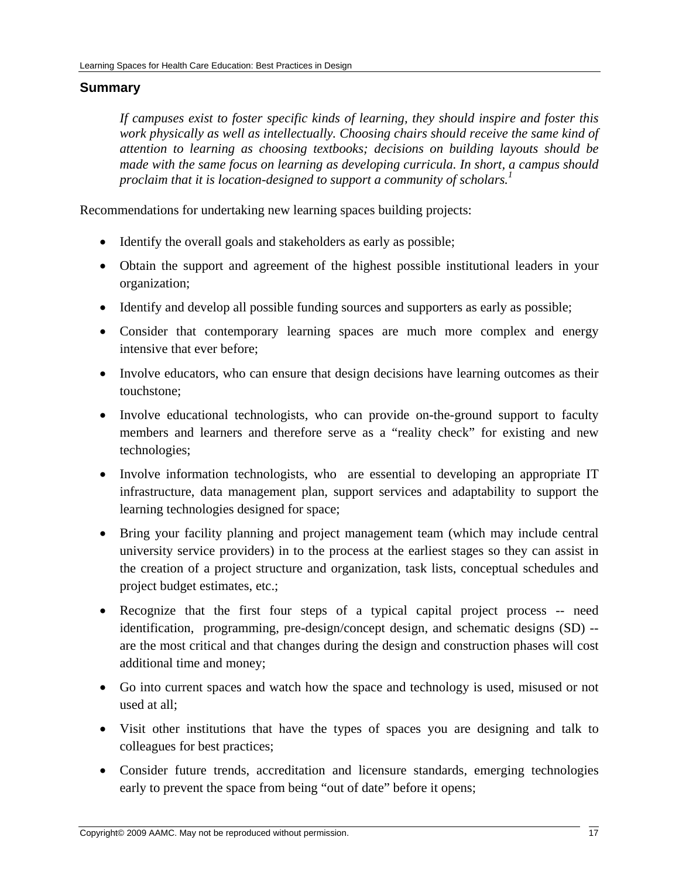#### <span id="page-16-0"></span>**Summary**

*If campuses exist to foster specific kinds of learning, they should inspire and foster this work physically as well as intellectually. Choosing chairs should receive the same kind of attention to learning as choosing textbooks; decisions on building layouts should be made with the same focus on learning as developing curricula. In short, a campus should proclaim that it is location-designed to support a community of scholars.<sup>1</sup>*

Recommendations for undertaking new learning spaces building projects:

- Identify the overall goals and stakeholders as early as possible;
- Obtain the support and agreement of the highest possible institutional leaders in your organization;
- Identify and develop all possible funding sources and supporters as early as possible;
- Consider that contemporary learning spaces are much more complex and energy intensive that ever before;
- Involve educators, who can ensure that design decisions have learning outcomes as their touchstone;
- Involve educational technologists, who can provide on-the-ground support to faculty members and learners and therefore serve as a "reality check" for existing and new technologies;
- Involve information technologists, who are essential to developing an appropriate IT infrastructure, data management plan, support services and adaptability to support the learning technologies designed for space;
- Bring your facility planning and project management team (which may include central university service providers) in to the process at the earliest stages so they can assist in the creation of a project structure and organization, task lists, conceptual schedules and project budget estimates, etc.;
- Recognize that the first four steps of a typical capital project process -- need identification, programming, pre-design/concept design, and schematic designs (SD) - are the most critical and that changes during the design and construction phases will cost additional time and money;
- Go into current spaces and watch how the space and technology is used, misused or not used at all;
- Visit other institutions that have the types of spaces you are designing and talk to colleagues for best practices;
- Consider future trends, accreditation and licensure standards, emerging technologies early to prevent the space from being "out of date" before it opens;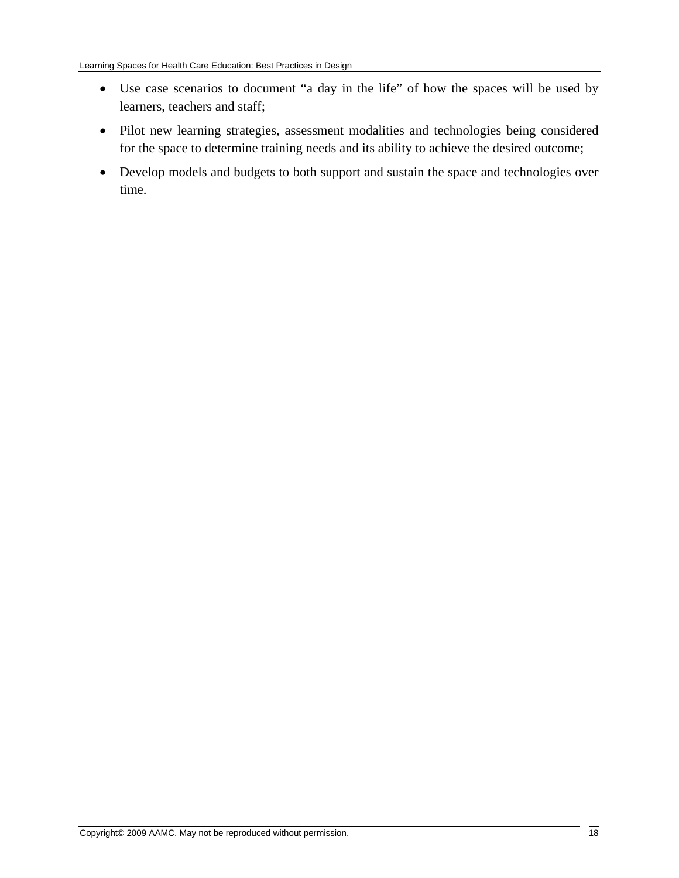- Use case scenarios to document "a day in the life" of how the spaces will be used by learners, teachers and staff;
- Pilot new learning strategies, assessment modalities and technologies being considered for the space to determine training needs and its ability to achieve the desired outcome;
- Develop models and budgets to both support and sustain the space and technologies over time.